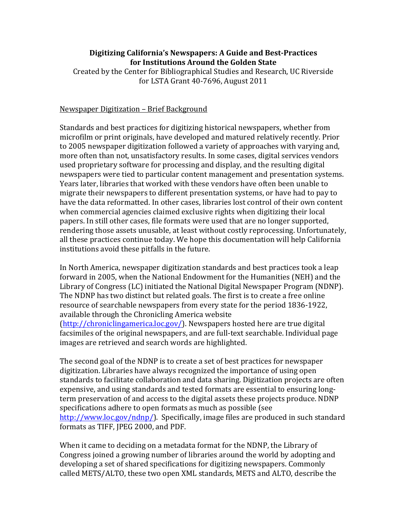### **Digitizing California's Newspapers: A Guide and Best-Practices for Institutions Around the Golden State**

Created by the Center for Bibliographical Studies and Research, UC Riverside for LSTA Grant 40-7696, August 2011

#### Newspaper Digitization - Brief Background

Standards and best practices for digitizing historical newspapers, whether from microfilm or print originals, have developed and matured relatively recently. Prior to 2005 newspaper digitization followed a variety of approaches with varying and, more often than not, unsatisfactory results. In some cases, digital services vendors used proprietary software for processing and display, and the resulting digital newspapers were tied to particular content management and presentation systems. Years later, libraries that worked with these vendors have often been unable to migrate their newspapers to different presentation systems, or have had to pay to have the data reformatted. In other cases, libraries lost control of their own content when commercial agencies claimed exclusive rights when digitizing their local papers. In still other cases, file formats were used that are no longer supported, rendering those assets unusable, at least without costly reprocessing. Unfortunately, all these practices continue today. We hope this documentation will help California institutions avoid these pitfalls in the future.

In North America, newspaper digitization standards and best practices took a leap forward in 2005, when the National Endowment for the Humanities (NEH) and the Library of Congress (LC) initiated the National Digital Newspaper Program (NDNP). The NDNP has two distinct but related goals. The first is to create a free online resource of searchable newspapers from every state for the period 1836-1922, available through the Chronicling America website  $(\text{http://chroniclingamerica.loc.gov/}).$  Newspapers hosted here are true digital facsimiles of the original newspapers, and are full-text searchable. Individual page images are retrieved and search words are highlighted.

The second goal of the NDNP is to create a set of best practices for newspaper digitization. Libraries have always recognized the importance of using open standards to facilitate collaboration and data sharing. Digitization projects are often expensive, and using standards and tested formats are essential to ensuring longterm preservation of and access to the digital assets these projects produce. NDNP specifications adhere to open formats as much as possible (see http://www.loc.gov/ndnp/). Specifically, image files are produced in such standard formats as TIFF, JPEG 2000, and PDF.

When it came to deciding on a metadata format for the NDNP, the Library of Congress joined a growing number of libraries around the world by adopting and developing a set of shared specifications for digitizing newspapers. Commonly called METS/ALTO, these two open XML standards, METS and ALTO, describe the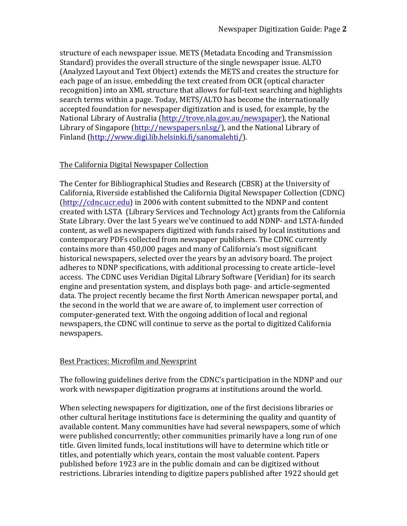structure of each newspaper issue. METS (Metadata Encoding and Transmission Standard) provides the overall structure of the single newspaper issue. ALTO (Analyzed Layout and Text Object) extends the METS and creates the structure for each page of an issue, embedding the text created from OCR (optical character recognition) into an XML structure that allows for full-text searching and highlights search terms within a page. Today, METS/ALTO has become the internationally accepted foundation for newspaper digitization and is used, for example, by the National Library of Australia (http://trove.nla.gov.au/newspaper), the National Library of Singapore (http://newspapers.nl.sg/), and the National Library of Finland (http://www.digi.lib.helsinki.fi/sanomalehti/).

# The California Digital Newspaper Collection

The Center for Bibliographical Studies and Research (CBSR) at the University of California, Riverside established the California Digital Newspaper Collection (CDNC) (http://cdnc.ucr.edu) in 2006 with content submitted to the NDNP and content created with LSTA (Library Services and Technology Act) grants from the California State Library. Over the last 5 years we've continued to add NDNP- and LSTA-funded content, as well as newspapers digitized with funds raised by local institutions and contemporary PDFs collected from newspaper publishers. The CDNC currently contains more than 450,000 pages and many of California's most significant historical newspapers, selected over the years by an advisory board. The project adheres to NDNP specifications, with additional processing to create article–level access. The CDNC uses Veridian Digital Library Software (Veridian) for its search engine and presentation system, and displays both page- and article-segmented data. The project recently became the first North American newspaper portal, and the second in the world that we are aware of, to implement user correction of computer-generated text. With the ongoing addition of local and regional newspapers, the CDNC will continue to serve as the portal to digitized California newspapers. 

### **Best Practices: Microfilm and Newsprint**

The following guidelines derive from the CDNC's participation in the NDNP and our work with newspaper digitization programs at institutions around the world.

When selecting newspapers for digitization, one of the first decisions libraries or other cultural heritage institutions face is determining the quality and quantity of available content. Many communities have had several newspapers, some of which were published concurrently; other communities primarily have a long run of one title. Given limited funds, local institutions will have to determine which title or titles, and potentially which years, contain the most valuable content. Papers published before 1923 are in the public domain and can be digitized without restrictions. Libraries intending to digitize papers published after 1922 should get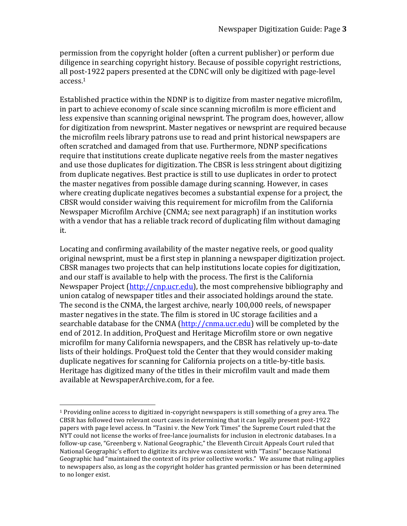permission from the copyright holder (often a current publisher) or perform due diligence in searching copyright history. Because of possible copyright restrictions, all post-1922 papers presented at the CDNC will only be digitized with page-level access.1

Established practice within the NDNP is to digitize from master negative microfilm, in part to achieve economy of scale since scanning microfilm is more efficient and less expensive than scanning original newsprint. The program does, however, allow for digitization from newsprint. Master negatives or newsprint are required because the microfilm reels library patrons use to read and print historical newspapers are often scratched and damaged from that use. Furthermore, NDNP specifications require that institutions create duplicate negative reels from the master negatives and use those duplicates for digitization. The CBSR is less stringent about digitizing from duplicate negatives. Best practice is still to use duplicates in order to protect the master negatives from possible damage during scanning. However, in cases where creating duplicate negatives becomes a substantial expense for a project, the CBSR would consider waiving this requirement for microfilm from the California Newspaper Microfilm Archive (CNMA; see next paragraph) if an institution works with a vendor that has a reliable track record of duplicating film without damaging it.

Locating and confirming availability of the master negative reels, or good quality original newsprint, must be a first step in planning a newspaper digitization project. CBSR manages two projects that can help institutions locate copies for digitization, and our staff is available to help with the process. The first is the California Newspaper Project (http://cnp.ucr.edu), the most comprehensive bibliography and union catalog of newspaper titles and their associated holdings around the state. The second is the CNMA, the largest archive, nearly 100,000 reels, of newspaper master negatives in the state. The film is stored in UC storage facilities and a searchable database for the CNMA (http://cnma.ucr.edu) will be completed by the end of 2012. In addition, ProQuest and Heritage Microfilm store or own negative microfilm for many California newspapers, and the CBSR has relatively up-to-date lists of their holdings. ProQuest told the Center that they would consider making duplicate negatives for scanning for California projects on a title-by-title basis. Heritage has digitized many of the titles in their microfilm vault and made them available at NewspaperArchive.com, for a fee.

 

 $1$  Providing online access to digitized in-copyright newspapers is still something of a grey area. The CBSR has followed two relevant court cases in determining that it can legally present post-1922 papers with page level access. In "Tasini v. the New York Times" the Supreme Court ruled that the NYT could not license the works of free-lance journalists for inclusion in electronic databases. In a follow-up case, "Greenberg v. National Geographic," the Eleventh Circuit Appeals Court ruled that National Geographic's effort to digitize its archive was consistent with "Tasini" because National Geographic had "maintained the context of its prior collective works." We assume that ruling applies to newspapers also, as long as the copyright holder has granted permission or has been determined to no longer exist.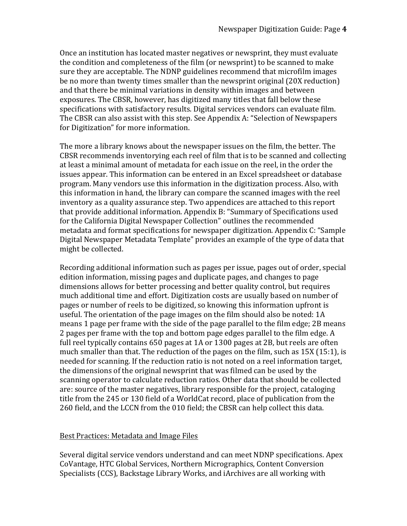Once an institution has located master negatives or newsprint, they must evaluate the condition and completeness of the film (or newsprint) to be scanned to make sure they are acceptable. The NDNP guidelines recommend that microfilm images be no more than twenty times smaller than the newsprint original (20X reduction) and that there be minimal variations in density within images and between exposures. The CBSR, however, has digitized many titles that fall below these specifications with satisfactory results. Digital services vendors can evaluate film. The CBSR can also assist with this step. See Appendix A: "Selection of Newspapers for Digitization" for more information.

The more a library knows about the newspaper issues on the film, the better. The CBSR recommends inventorying each reel of film that is to be scanned and collecting at least a minimal amount of metadata for each issue on the reel, in the order the issues appear. This information can be entered in an Excel spreadsheet or database program. Many vendors use this information in the digitization process. Also, with this information in hand, the library can compare the scanned images with the reel inventory as a quality assurance step. Two appendices are attached to this report that provide additional information. Appendix  $B$ : "Summary of Specifications used for the California Digital Newspaper Collection" outlines the recommended metadata and format specifications for newspaper digitization. Appendix C: "Sample Digital Newspaper Metadata Template" provides an example of the type of data that might be collected.

Recording additional information such as pages per issue, pages out of order, special edition information, missing pages and duplicate pages, and changes to page dimensions allows for better processing and better quality control, but requires much additional time and effort. Digitization costs are usually based on number of pages or number of reels to be digitized, so knowing this information upfront is useful. The orientation of the page images on the film should also be noted: 1A means 1 page per frame with the side of the page parallel to the film edge; 2B means 2 pages per frame with the top and bottom page edges parallel to the film edge. A full reel typically contains  $650$  pages at 1A or 1300 pages at 2B, but reels are often much smaller than that. The reduction of the pages on the film, such as  $15X(15:1)$ , is needed for scanning. If the reduction ratio is not noted on a reel information target, the dimensions of the original newsprint that was filmed can be used by the scanning operator to calculate reduction ratios. Other data that should be collected are: source of the master negatives, library responsible for the project, cataloging title from the 245 or 130 field of a WorldCat record, place of publication from the 260 field, and the LCCN from the 010 field; the CBSR can help collect this data.

### Best Practices: Metadata and Image Files

Several digital service vendors understand and can meet NDNP specifications. Apex CoVantage, HTC Global Services, Northern Micrographics, Content Conversion Specialists (CCS), Backstage Library Works, and iArchives are all working with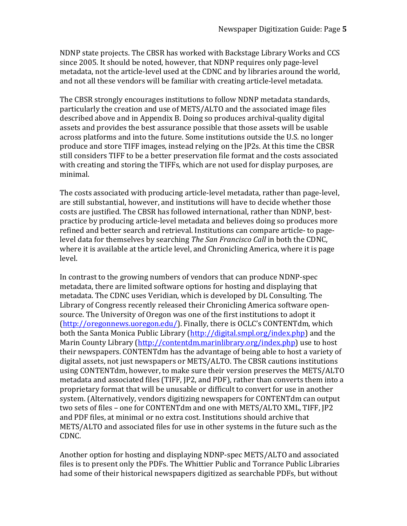NDNP state projects. The CBSR has worked with Backstage Library Works and CCS since 2005. It should be noted, however, that NDNP requires only page-level metadata, not the article-level used at the CDNC and by libraries around the world, and not all these vendors will be familiar with creating article-level metadata.

The CBSR strongly encourages institutions to follow NDNP metadata standards, particularly the creation and use of METS/ALTO and the associated image files described above and in Appendix B. Doing so produces archival-quality digital assets and provides the best assurance possible that those assets will be usable across platforms and into the future. Some institutions outside the U.S. no longer produce and store TIFF images, instead relying on the IP2s. At this time the CBSR still considers TIFF to be a better preservation file format and the costs associated with creating and storing the TIFFs, which are not used for display purposes, are minimal.

The costs associated with producing article-level metadata, rather than page-level, are still substantial, however, and institutions will have to decide whether those costs are justified. The CBSR has followed international, rather than NDNP, bestpractice by producing article-level metadata and believes doing so produces more refined and better search and retrieval. Institutions can compare article- to pagelevel data for themselves by searching *The San Francisco Call* in both the CDNC, where it is available at the article level, and Chronicling America, where it is page level. 

In contrast to the growing numbers of vendors that can produce NDNP-spec metadata, there are limited software options for hosting and displaying that metadata. The CDNC uses Veridian, which is developed by DL Consulting. The Library of Congress recently released their Chronicling America software opensource. The University of Oregon was one of the first institutions to adopt it (http://oregonnews.uoregon.edu/). Finally, there is OCLC's CONTENTdm, which both the Santa Monica Public Library (http://digital.smpl.org/index.php) and the Marin County Library (http://contentdm.marinlibrary.org/index.php) use to host their newspapers. CONTENTdm has the advantage of being able to host a variety of digital assets, not just newspapers or METS/ALTO. The CBSR cautions institutions using CONTENTdm, however, to make sure their version preserves the METS/ALTO metadata and associated files (TIFF, JP2, and PDF), rather than converts them into a proprietary format that will be unusable or difficult to convert for use in another system. (Alternatively, vendors digitizing newspapers for CONTENTdm can output two sets of files - one for CONTENTdm and one with METS/ALTO XML, TIFF, JP2 and PDF files, at minimal or no extra cost. Institutions should archive that METS/ALTO and associated files for use in other systems in the future such as the CDNC.

Another option for hosting and displaying NDNP-spec METS/ALTO and associated files is to present only the PDFs. The Whittier Public and Torrance Public Libraries had some of their historical newspapers digitized as searchable PDFs, but without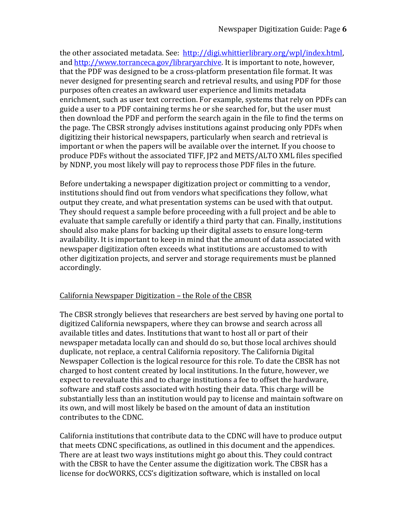the other associated metadata. See: http://digi.whittierlibrary.org/wpl/index.html, and http://www.torranceca.gov/libraryarchive. It is important to note, however, that the PDF was designed to be a cross-platform presentation file format. It was never designed for presenting search and retrieval results, and using PDF for those purposes often creates an awkward user experience and limits metadata enrichment, such as user text correction. For example, systems that rely on PDFs can guide a user to a PDF containing terms he or she searched for, but the user must then download the PDF and perform the search again in the file to find the terms on the page. The CBSR strongly advises institutions against producing only PDFs when digitizing their historical newspapers, particularly when search and retrieval is important or when the papers will be available over the internet. If you choose to produce PDFs without the associated TIFF, JP2 and METS/ALTO XML files specified by NDNP, you most likely will pay to reprocess those PDF files in the future.

Before undertaking a newspaper digitization project or committing to a vendor, institutions should find out from vendors what specifications they follow, what output they create, and what presentation systems can be used with that output. They should request a sample before proceeding with a full project and be able to evaluate that sample carefully or identify a third party that can. Finally, institutions should also make plans for backing up their digital assets to ensure long-term availability. It is important to keep in mind that the amount of data associated with newspaper digitization often exceeds what institutions are accustomed to with other digitization projects, and server and storage requirements must be planned accordingly.

# California Newspaper Digitization – the Role of the CBSR

The CBSR strongly believes that researchers are best served by having one portal to digitized California newspapers, where they can browse and search across all available titles and dates. Institutions that want to host all or part of their newspaper metadata locally can and should do so, but those local archives should duplicate, not replace, a central California repository. The California Digital Newspaper Collection is the logical resource for this role. To date the CBSR has not charged to host content created by local institutions. In the future, however, we expect to reevaluate this and to charge institutions a fee to offset the hardware, software and staff costs associated with hosting their data. This charge will be substantially less than an institution would pay to license and maintain software on its own, and will most likely be based on the amount of data an institution contributes to the CDNC.

California institutions that contribute data to the CDNC will have to produce output that meets CDNC specifications, as outlined in this document and the appendices. There are at least two ways institutions might go about this. They could contract with the CBSR to have the Center assume the digitization work. The CBSR has a license for docWORKS, CCS's digitization software, which is installed on local